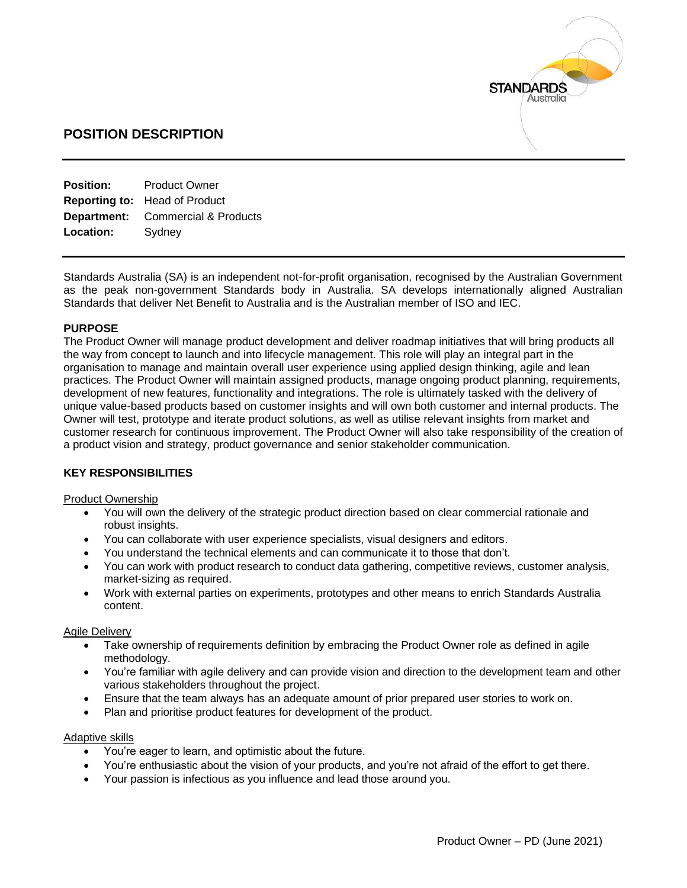

# **POSITION DESCRIPTION**

| <b>Product Owner</b>                     |
|------------------------------------------|
| <b>Reporting to: Head of Product</b>     |
| <b>Department:</b> Commercial & Products |
| Sydney                                   |
|                                          |

Standards Australia (SA) is an independent not-for-profit organisation, recognised by the Australian Government as the peak non-government Standards body in Australia. SA develops internationally aligned Australian Standards that deliver Net Benefit to Australia and is the Australian member of ISO and IEC.

### **PURPOSE**

The Product Owner will manage product development and deliver roadmap initiatives that will bring products all the way from concept to launch and into lifecycle management. This role will play an integral part in the organisation to manage and maintain overall user experience using applied design thinking, agile and lean practices. The Product Owner will maintain assigned products, manage ongoing product planning, requirements, development of new features, functionality and integrations. The role is ultimately tasked with the delivery of unique value-based products based on customer insights and will own both customer and internal products. The Owner will test, prototype and iterate product solutions, as well as utilise relevant insights from market and customer research for continuous improvement. The Product Owner will also take responsibility of the creation of a product vision and strategy, product governance and senior stakeholder communication.

## **KEY RESPONSIBILITIES**

#### Product Ownership

- You will own the delivery of the strategic product direction based on clear commercial rationale and robust insights.
- You can collaborate with user experience specialists, visual designers and editors.
- You understand the technical elements and can communicate it to those that don't.
- You can work with product research to conduct data gathering, competitive reviews, customer analysis, market-sizing as required.
- Work with external parties on experiments, prototypes and other means to enrich Standards Australia content.

#### Agile Delivery

- Take ownership of requirements definition by embracing the Product Owner role as defined in agile methodology.
- You're familiar with agile delivery and can provide vision and direction to the development team and other various stakeholders throughout the project.
- Ensure that the team always has an adequate amount of prior prepared user stories to work on.
- Plan and prioritise product features for development of the product.

#### Adaptive skills

- You're eager to learn, and optimistic about the future.
- You're enthusiastic about the vision of your products, and you're not afraid of the effort to get there.
- Your passion is infectious as you influence and lead those around you.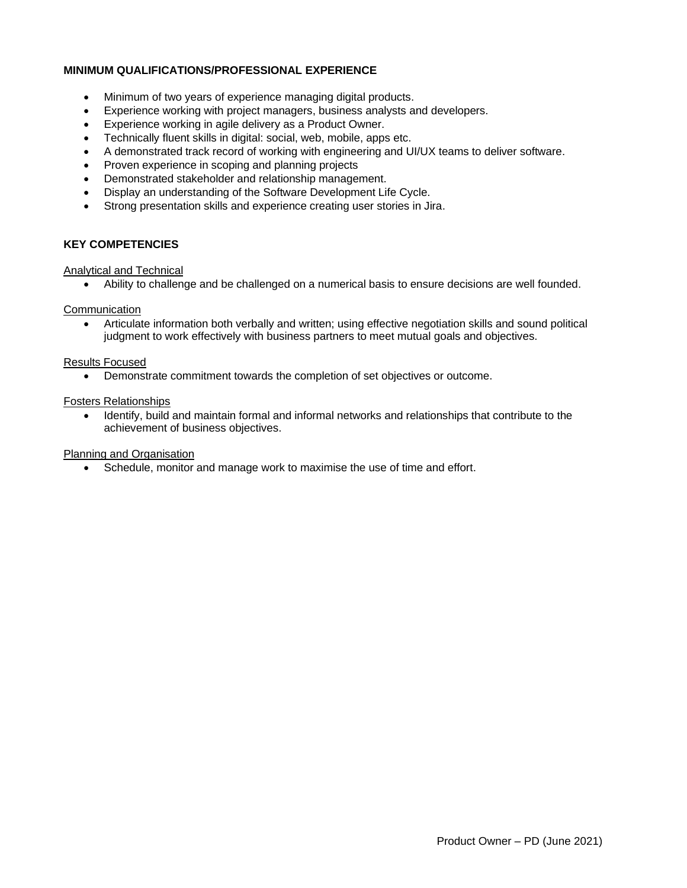## **MINIMUM QUALIFICATIONS/PROFESSIONAL EXPERIENCE**

- Minimum of two years of experience managing digital products.
- Experience working with project managers, business analysts and developers.
- Experience working in agile delivery as a Product Owner.
- Technically fluent skills in digital: social, web, mobile, apps etc.
- A demonstrated track record of working with engineering and UI/UX teams to deliver software.
- Proven experience in scoping and planning projects
- Demonstrated stakeholder and relationship management.
- Display an understanding of the Software Development Life Cycle.
- Strong presentation skills and experience creating user stories in Jira.

### **KEY COMPETENCIES**

Analytical and Technical

• Ability to challenge and be challenged on a numerical basis to ensure decisions are well founded.

#### **Communication**

• Articulate information both verbally and written; using effective negotiation skills and sound political judgment to work effectively with business partners to meet mutual goals and objectives.

### Results Focused

• Demonstrate commitment towards the completion of set objectives or outcome.

### Fosters Relationships

• Identify, build and maintain formal and informal networks and relationships that contribute to the achievement of business objectives.

#### Planning and Organisation

• Schedule, monitor and manage work to maximise the use of time and effort.